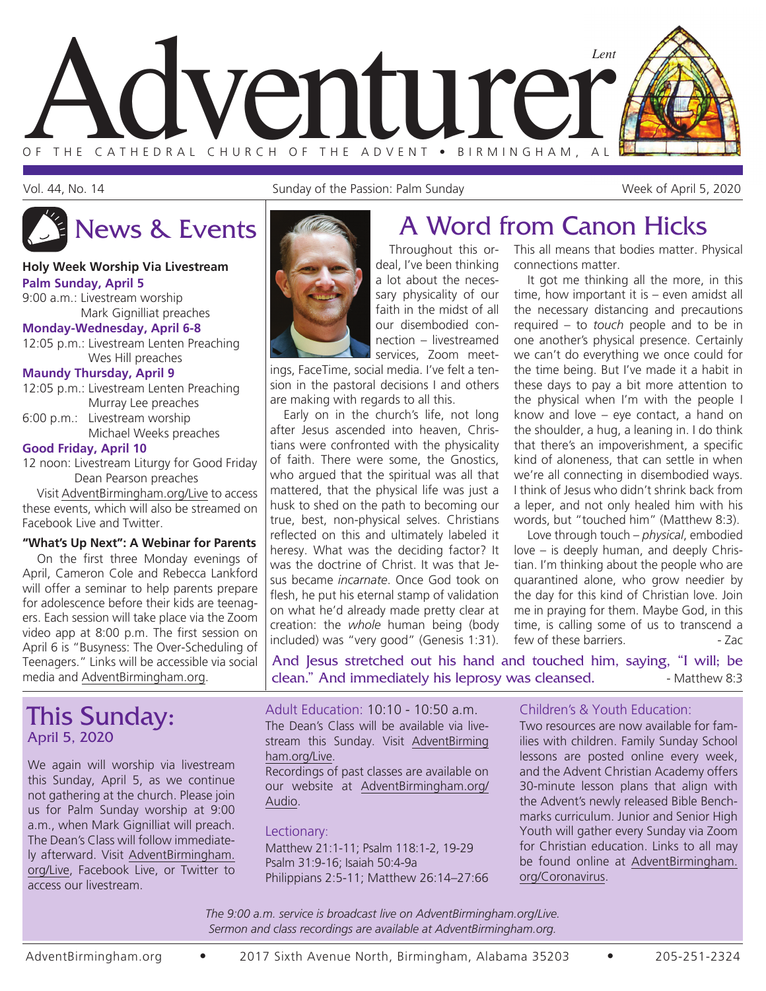

Vol. 44, No. 14 Sunday of the Passion: Palm Sunday Week of April 5, 2020

#### **Holy Week Worship Via Livestream Palm Sunday, April 5**

9:00 a.m.: Livestream worship Mark Gignilliat preaches **Monday-Wednesday, April 6-8**

12:05 p.m.: Livestream Lenten Preaching Wes Hill preaches

#### **Maundy Thursday, April 9**

|            | 12:05 p.m.: Livestream Lenten Preaching |  |
|------------|-----------------------------------------|--|
|            | Murray Lee preaches                     |  |
| $\sim$ 0.0 |                                         |  |

6:00 p.m.: Livestream worship Michael Weeks preaches

#### **Good Friday, April 10**

12 noon: Livestream Liturgy for Good Friday Dean Pearson preaches

Visit AdventBirmingham.org/Live to access these events, which will also be streamed on Facebook Live and Twitter.

#### **"What's Up Next": A Webinar for Parents**

On the first three Monday evenings of April, Cameron Cole and Rebecca Lankford will offer a seminar to help parents prepare for adolescence before their kids are teenagers. Each session will take place via the Zoom video app at 8:00 p.m. The first session on April 6 is "Busyness: The Over-Scheduling of Teenagers." Links will be accessible via social media and AdventBirmingham.org.

# This Sunday: April 5, 2020

We again will worship via livestream this Sunday, April 5, as we continue not gathering at the church. Please join us for Palm Sunday worship at 9:00 a.m., when Mark Gignilliat will preach. The Dean's Class will follow immediately afterward. Visit AdventBirmingham. org/Live, Facebook Live, or Twitter to access our livestream.

# News & Events **A Word from Canon Hicks**

Throughout this ordeal, I've been thinking a lot about the necessary physicality of our faith in the midst of all our disembodied connection – livestreamed services, Zoom meet-

ings, FaceTime, social media. I've felt a tension in the pastoral decisions I and others are making with regards to all this.

Early on in the church's life, not long after Jesus ascended into heaven, Christians were confronted with the physicality of faith. There were some, the Gnostics, who argued that the spiritual was all that mattered, that the physical life was just a husk to shed on the path to becoming our true, best, non-physical selves. Christians reflected on this and ultimately labeled it heresy. What was the deciding factor? It was the doctrine of Christ. It was that Jesus became *incarnate*. Once God took on flesh, he put his eternal stamp of validation on what he'd already made pretty clear at creation: the *whole* human being (body included) was "very good" (Genesis 1:31). This all means that bodies matter. Physical connections matter.

It got me thinking all the more, in this time, how important it is – even amidst all the necessary distancing and precautions required – to *touch* people and to be in one another's physical presence. Certainly we can't do everything we once could for the time being. But I've made it a habit in these days to pay a bit more attention to the physical when I'm with the people I know and love – eye contact, a hand on the shoulder, a hug, a leaning in. I do think that there's an impoverishment, a specific kind of aloneness, that can settle in when we're all connecting in disembodied ways. I think of Jesus who didn't shrink back from a leper, and not only healed him with his words, but "touched him" (Matthew 8:3).

Love through touch – *physical*, embodied love – is deeply human, and deeply Christian. I'm thinking about the people who are quarantined alone, who grow needier by the day for this kind of Christian love. Join me in praying for them. Maybe God, in this time, is calling some of us to transcend a few of these barriers. The same state of the 2 ac

And Jesus stretched out his hand and touched him, saying, "I will; be clean." And immediately his leprosy was cleansed.  $\blacksquare$  - Matthew 8:3

Adult Education: 10:10 - 10:50 a.m. The Dean's Class will be available via livestream this Sunday. Visit AdventBirming ham.org/Live.

Recordings of past classes are available on our website at AdventBirmingham.org/ Audio.

#### Lectionary:

Matthew 21:1-11; Psalm 118:1-2, 19-29 Psalm 31:9-16; Isaiah 50:4-9a Philippians 2:5-11; Matthew 26:14–27:66

#### Children's & Youth Education:

Two resources are now available for families with children. Family Sunday School lessons are posted online every week, and the Advent Christian Academy offers 30-minute lesson plans that align with the Advent's newly released Bible Benchmarks curriculum. Junior and Senior High Youth will gather every Sunday via Zoom for Christian education. Links to all may be found online at AdventBirmingham. org/Coronavirus.

*The 9:00 a.m. service is broadcast live on AdventBirmingham.org/Live. Sermon and class recordings are available at AdventBirmingham.org.*